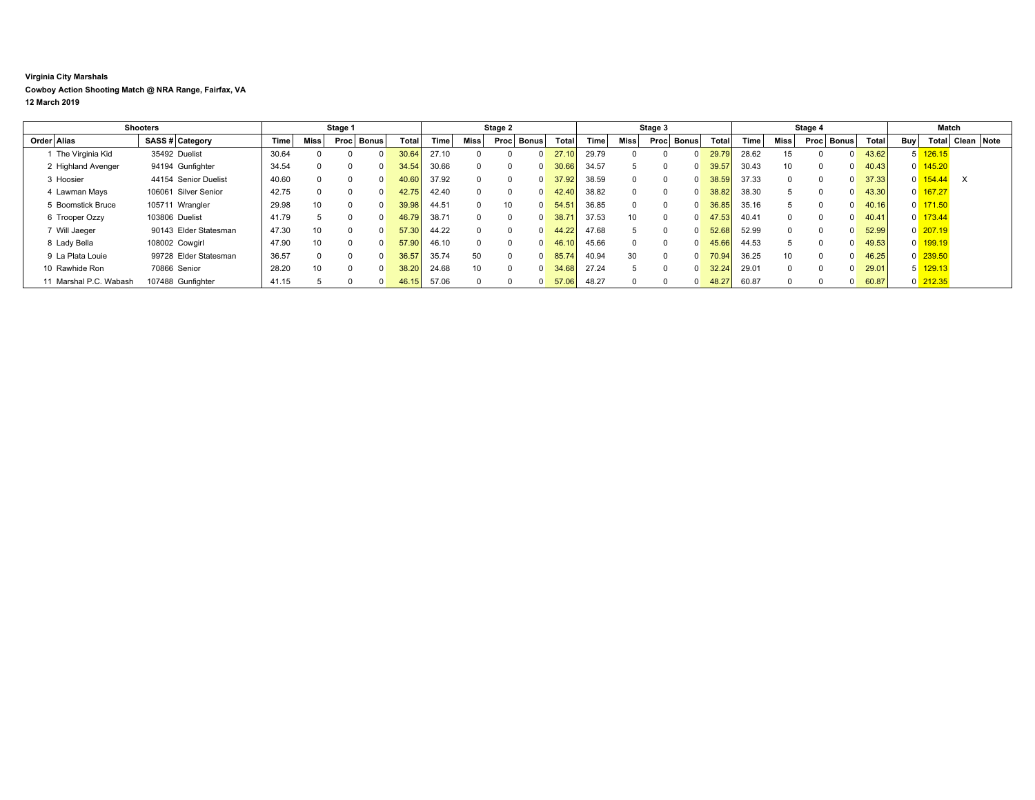## **Virginia City Marshals**

**Cowboy Action Shooting Match @ NRA Range, Fairfax, VA**

**12 March 2019**

| Shooters               |                       | Stage 1 |          |              |              | Stage 2 |       |              |               | Stage 3 |       |          |                      | Stage 4 |       |                 |          | Match        |       |     |                       |            |  |
|------------------------|-----------------------|---------|----------|--------------|--------------|---------|-------|--------------|---------------|---------|-------|----------|----------------------|---------|-------|-----------------|----------|--------------|-------|-----|-----------------------|------------|--|
| Order Alias            | SASS # Category       | Time    | Miss     |              | Proc   Bonus | Total   | Time  | Miss         | Bonus<br>Proc | Total   | Time  | Miss     | <b>Bonus</b><br>Proc | Total   | Time  | Miss            | Proc     | <b>Bonus</b> | Total | Buy | Total                 | Clean Note |  |
| 1 The Virginia Kid     | 35492 Duelist         | 30.64   |          |              | <sup>0</sup> | 30.64   | 27.10 |              |               | 271     | 29.79 |          |                      | 29.79   | 28.62 | 15              |          |              | 43.62 |     | $5 - 126.15$          |            |  |
| 2 Highland Avenger     | 94194 Gunfighter      | 34.54   |          | $\Omega$     | $\Omega$     | 34.54   | 30.66 | $\Omega$     |               | 30.66   | 34.57 | 5        |                      | 39.57   | 30.43 | 10              | $\Omega$ |              | 40.43 |     | $0 \overline{145.20}$ |            |  |
| 3 Hoosier              | 44154 Senior Duelist  | 40.60   | $\Omega$ | <sup>0</sup> | $\Omega$     | 40.60   | 37.92 | $\Omega$     |               | 37.92   | 38.59 | $\Omega$ | 0                    | 38.59   | 37.33 | $\Omega$        | $\Omega$ |              | 37.33 |     | $0 \overline{154.44}$ | $\times$   |  |
| 4 Lawman Mays          | 106061 Silver Senior  | 42.75   | $\Omega$ | $\Omega$     | $\Omega$     | 42.75   | 42.40 | $\Omega$     | <sup>0</sup>  | 42.40   | 38.82 | $\Omega$ | 0                    | 38.82   | 38.30 | 5.              | $\Omega$ |              | 43.30 |     | $0$ 167.27            |            |  |
| 5 Boomstick Bruce      | 105711 Wrangler       | 29.98   | 10       | $\Omega$     | $\Omega$     | 39.98   | 44.51 | <sup>0</sup> | 10            | 54.51   | 36.85 | $\Omega$ | 0                    | 36.85   | 35.16 | 5               | $\Omega$ |              | 40.16 |     | $0 \overline{171.50}$ |            |  |
| 6 Trooper Ozzy         | 103806 Duelist        | 41.79   |          | $\Omega$     | <sup>0</sup> | 46.79   | 38.71 | <sup>0</sup> |               | 38.71   | 37.53 | 10       | 0                    | 47.53   | 40.41 |                 | $\Omega$ |              | 40.41 |     | $0$ 173.44            |            |  |
| 7 Will Jaeger          | 90143 Elder Statesman | 47.30   | 10       | $\Omega$     | $\Omega$     | 57.30   | 44.22 | $\Omega$     |               | 44.22   | 47.68 | 5        | 0                    | 52.68   | 52.99 |                 | $\Omega$ |              | 52.99 |     | $0$ 207.19            |            |  |
| 8 Lady Bella           | 108002 Cowgirl        | 47.90   | 10       | $\Omega$     | $\Omega$     | 57.90   | 46.10 | $\Omega$     | 0             | 46.10   | 45.66 | $\Omega$ |                      | 45.66   | 44.53 | 5               | 0        |              | 49.53 |     | 0 199.19              |            |  |
| 9 La Plata Louie       | 99728 Elder Statesman | 36.57   | $\Omega$ | $\Omega$     | $\Omega$     | 36.57   | 35.74 | 50           | 0             | 85.74   | 40.94 | 30       |                      | 70.94   | 36.25 | 10 <sup>1</sup> | $\Omega$ |              | 46.25 |     | $0$ 239.50            |            |  |
| 10 Rawhide Ron         | 70866 Senior          | 28.20   | 10       | $\Omega$     | <sup>0</sup> | 38.20   | 24.68 | 10           |               | 34.68   | 27.24 | 5        |                      | 32.24   | 29.01 |                 | $\Omega$ |              | 29.01 |     | 5 129.13              |            |  |
| 11 Marshal P.C. Wabash | 107488 Gunfighter     | 41.15   |          |              |              | 46.15   | 57.06 |              |               | 57.06   | 48.27 |          |                      | 48.27   | 60.87 |                 |          |              | 60.87 |     | $0$ 212.35            |            |  |